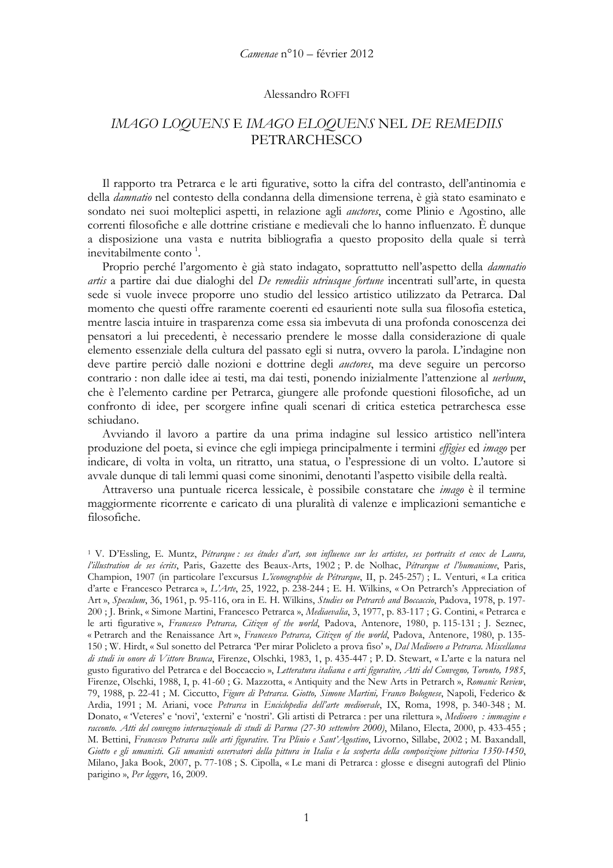## Alessandro ROFFI

## IMAGO LOQUENS E IMAGO ELOQUENS NEL DE REMEDIIS PETRARCHESCO

Il rapporto tra Petrarca e le arti figurative, sotto la cifra del contrasto, dell'antinomia e della *damnatio* nel contesto della condanna della dimensione terrena, è già stato esaminato e sondato nei suoi molteplici aspetti, in relazione agli *auctores*, come Plinio e Agostino, alle correnti filosofiche e alle dottrine cristiane e medievali che lo hanno influenzato. È dunque a disposizione una vasta e nutrita bibliografia a questo proposito della quale si terrà inevitabilmente conto<sup>1</sup>.

Proprio perché l'argomento è già stato indagato, soprattutto nell'aspetto della damnatio artis a partire dai due dialoghi del *De remediis utriusque fortune* incentrati sull'arte, in questa sede si vuole invece proporre uno studio del lessico artistico utilizzato da Petrarca. Dal momento che questi offre raramente coerenti ed esaurienti note sulla sua filosofia estetica, mentre lascia intuire in trasparenza come essa sia imbevuta di una profonda conoscenza dei pensatori a lui precedenti, è necessario prendere le mosse dalla considerazione di quale elemento essenziale della cultura del passato egli si nutra, ovvero la parola. L'indagine non deve partire perciò dalle nozioni e dottrine degli *auctores*, ma deve seguire un percorso contrario: non dalle idee ai testi, ma dai testi, ponendo inizialmente l'attenzione al *uerbum*, che è l'elemento cardine per Petrarca, giungere alle profonde questioni filosofiche, ad un confronto di idee, per scorgere infine quali scenari di critica estetica petrarchesca esse schiudano.

Avviando il lavoro a partire da una prima indagine sul lessico artistico nell'intera produzione del poeta, si evince che egli impiega principalmente i termini effigies ed imago per indicare, di volta in volta, un ritratto, una statua, o l'espressione di un volto. L'autore si avvale dunque di tali lemmi quasi come sinonimi, denotanti l'aspetto visibile della realtà.

Attraverso una puntuale ricerca lessicale, è possibile constatare che *imago* è il termine maggiormente ricorrente e caricato di una pluralità di valenze e implicazioni semantiche e filosofiche.

<sup>&</sup>lt;sup>1</sup> V. D'Essling, E. Muntz, Pétrarque : ses études d'art, son influence sur les artistes, ses portraits et ceux de Laura, l'illustration de ses écrits, Paris, Gazette des Beaux-Arts, 1902 ; P. de Nolhac, Pétrarque et l'humanisme, Paris, Champion, 1907 (in particolare l'excursus L'iconographie de Pétrarque, II, p. 245-257) ; L. Venturi, « La critica d'arte e Francesco Petrarca », L'Arte, 25, 1922, p. 238-244 ; E. H. Wilkins, « On Petrarch's Appreciation of Art », Speculum, 36, 1961, p. 95-116, ora in E. H. Wilkins, Studies on Petrarch and Boccaccio, Padova, 1978, p. 197-200 ; J. Brink, « Simone Martini, Francesco Petrarca », Mediaevalia, 3, 1977, p. 83-117 ; G. Contini, « Petrarca e le arti figurative », Francesco Petrarca, Citizen of the world, Padova, Antenore, 1980, p. 115-131 ; J. Seznec, « Petrarch and the Renaissance Art », Francesco Petrarca, Citizen of the world, Padova, Antenore, 1980, p. 135-150; W. Hirdt, « Sul sonetto del Petrarca 'Per mirar Policleto a prova fiso' », Dal Medioevo a Petrarca. Miscellanea di studi in onore di Vittore Branca, Firenze, Olschki, 1983, 1, p. 435-447 ; P. D. Stewart, « L'arte e la natura nel gusto figurativo del Petrarca e del Boccaccio », Letteratura italiana e arti figurative, Atti del Convegno, Toronto, 1985, Firenze, Olschki, 1988, I, p. 41-60; G. Mazzotta, « Antiquity and the New Arts in Petrarch », Romanic Review, 79, 1988, p. 22-41 ; M. Ciccutto, Figure di Petrarca. Giotto, Simone Martini, Franco Bolognese, Napoli, Federico & Ardia, 1991; M. Ariani, voce Petrarca in Enciclopedia dell'arte medioevale, IX, Roma, 1998, p. 340-348; M. Donato, « Veteres' e 'novi', 'externi' e 'nostri'. Gli artisti di Petrarca : per una rilettura », Medioevo : immagine e racconto. Atti del convegno internazionale di studi di Parma (27-30 settembre 2000), Milano, Electa, 2000, p. 433-455; M. Bettini, Francesco Petrarca sulle arti figurative. Tra Plinio e Sant'Agostino, Livorno, Sillabe, 2002; M. Baxandall, Giotto e gli umanisti. Gli umanisti osservatori della pittura in Italia e la scoperta della composizione pittorica 1350-1450, Milano, Jaka Book, 2007, p. 77-108; S. Cipolla, «Le mani di Petrarca : glosse e disegni autografi del Plinio parigino », Per leggere, 16, 2009.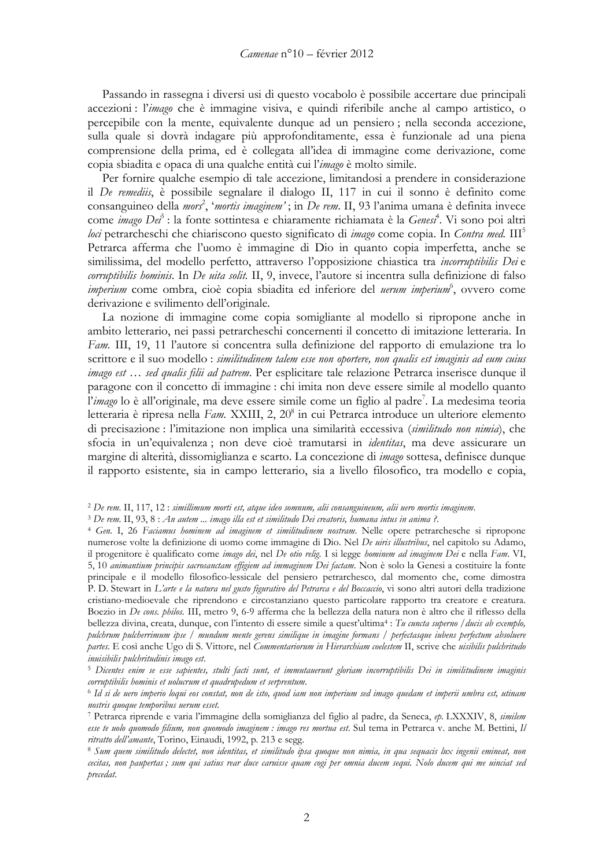Passando in rassegna i diversi usi di questo vocabolo è possibile accertare due principali accezioni: l'imago che è immagine visiva, e quindi riferibile anche al campo artistico, o percepibile con la mente, equivalente dunque ad un pensiero; nella seconda accezione, sulla quale si dovrà indagare più approfonditamente, essa è funzionale ad una piena comprensione della prima, ed è collegata all'idea di immagine come derivazione, come copia sbiadita e opaca di una qualche entità cui l'imago è molto simile.

Per fornire qualche esempio di tale accezione, limitandosi a prendere in considerazione il De remediis, è possibile segnalare il dialogo II, 117 in cui il sonno è definito come consanguineo della *mors<sup>2</sup>*, *'mortis imaginem'*; in *De rem.* II, 93 l'anima umana è definita invece come *imago Dei*<sup>3</sup>: la fonte sottintesa e chiaramente richiamata è la Genesi<sup>4</sup>. Vi sono poi altri loci petrarcheschi che chiariscono questo significato di *imago* come copia. In Contra med. III<sup>5</sup> Petrarca afferma che l'uomo è immagine di Dio in quanto copia imperfetta, anche se similissima, del modello perfetto, attraverso l'opposizione chiastica tra *incorruptibilis Dei* e corruptibilis hominis. In De uita solit. II, 9, invece, l'autore si incentra sulla definizione di falso *imperium* come ombra, cioè copia sbiadita ed inferiore del *uerum imperium*<sup>6</sup>, ovvero come derivazione e svilimento dell'originale.

La nozione di immagine come copia somigliante al modello si ripropone anche in ambito letterario, nei passi petrarcheschi concernenti il concetto di imitazione letteraria. In Fam. III, 19, 11 l'autore si concentra sulla definizione del rapporto di emulazione tra lo scrittore e il suo modello : similitudinem talem esse non oportere, non qualis est imaginis ad eum cuius *imago est... sed qualis filii ad patrem.* Per esplicitare tale relazione Petrarca inserisce dunque il paragone con il concetto di immagine : chi imita non deve essere simile al modello quanto l'imago lo è all'originale, ma deve essere simile come un figlio al padre<sup>7</sup>. La medesima teoria letteraria è ripresa nella Fam. XXIII, 2, 20<sup>8</sup> in cui Petrarca introduce un ulteriore elemento di precisazione : l'imitazione non implica una similarità eccessiva (similitudo non nimia), che sfocia in un'equivalenza; non deve cioè tramutarsi in *identitas*, ma deve assicurare un margine di alterità, dissomiglianza e scarto. La concezione di *imago* sottesa, definisce dunque il rapporto esistente, sia in campo letterario, sia a livello filosofico, tra modello e copia,

<sup>&</sup>lt;sup>2</sup> De rem. II, 117, 12 : simillimum morti est, atque ideo somnum, alii consanguineum, alii uero mortis imaginem.

<sup>&</sup>lt;sup>3</sup> De rem. II, 93, 8 : An autem ... imago illa est et similitudo Dei creatoris, humana intus in anima ?.

<sup>&</sup>lt;sup>4</sup> Gen. I, 26 Faciamus hominem ad imaginem et similitudinem nostram. Nelle opere petrarchesche si ripropone numerose volte la definizione di uomo come immagine di Dio. Nel De uiris illustribus, nel capitolo su Adamo, il progenitore è qualificato come imago dei, nel De otio relig. I si legge hominem ad imaginem Dei e nella Fam. VI, 5, 10 animantium principis sacrosanctam effigiem ad immaginem Dei factam. Non è solo la Genesi a costituire la fonte principale e il modello filosofico-lessicale del pensiero petrarchesco, dal momento che, come dimostra P. D. Stewart in L'arte e la natura nel gusto figurativo del Petrarca e del Boccaccio, vi sono altri autori della tradizione cristiano-medioevale che riprendono e circostanziano questo particolare rapporto tra creatore e creatura. Boezio in De cons. philos. III, metro 9, 6-9 afferma che la bellezza della natura non è altro che il riflesso della bellezza divina, creata, dunque, con l'intento di essere simile a quest'ultima<sup>4</sup> : Tu cuncta superno / ducis ab exemplo, pulchrum pulcherrimum ipse / mundum mente gerens similique in imagine formans / perfectasque iubens perfectum absoluere partes. E così anche Ugo di S. Vittore, nel Commentariorum in Hierarchiam coelestem II, scrive che uisibilis pulchritudo inuisibilis pulchritudinis imago est.

<sup>&</sup>lt;sup>5</sup> Dicentes enim se esse sapientes, stulti facti sunt, et immutauerunt gloriam incorruptibilis Dei in similitudinem imaginis corruptibilis hominis et uolucrum et quadrupedum et serprentum.

<sup>&</sup>lt;sup>6</sup> Id si de uero imperio loqui eos constat, non de isto, quod iam non imperium sed imago quedam et imperii umbra est, utinam nostris quoque temporibus uerum esset.

<sup>7</sup> Petrarca riprende e varia l'immagine della somiglianza del figlio al padre, da Seneca, ep. LXXXIV, 8, similem esse te nolo quomodo filium, non quomodo imaginem : imago res mortua est. Sul tema in Petrarca v. anche M. Bettini, Il ritratto dell'amante, Torino, Einaudi, 1992, p. 213 e segg.

<sup>&</sup>lt;sup>8</sup> Sum quem similitudo delectet, non identitas, et similitudo ipsa quoque non nimia, in qua sequacis lux ingenii emineat, non cecitas, non paupertas; sum qui satius rear duce caruisse quam cogi per omnia ducem sequi. Nolo ducem qui me uinciat sed precedat.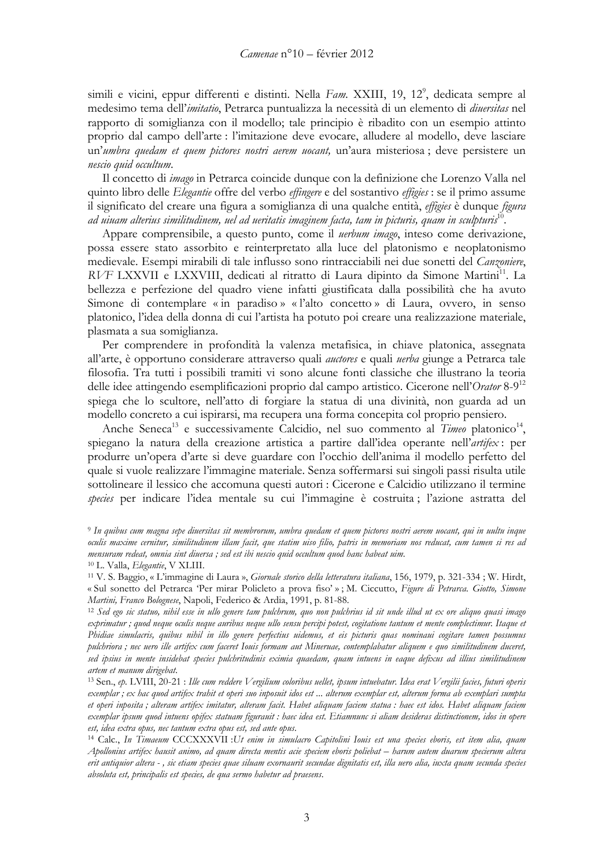simili e vicini, eppur differenti e distinti. Nella Fam. XXIII, 19, 12<sup>9</sup>, dedicata sempre al medesimo tema dell'imitatio, Petrarca puntualizza la necessità di un elemento di diversitas nel rapporto di somiglianza con il modello; tale principio è ribadito con un esempio attinto proprio dal campo dell'arte : l'imitazione deve evocare, alludere al modello, deve lasciare un'umbra quedam et quem pictores nostri aerem uocant, un'aura misteriosa; deve persistere un nescio quid occultum.

Il concetto di *imago* in Petrarca coincide dunque con la definizione che Lorenzo Valla nel quinto libro delle Elegantie offre del verbo effingere e del sostantivo effigies : se il primo assume il significato del creare una figura a somiglianza di una qualche entità, *effigies* è dunque *figura* ad uiuam alterius similitudinem, uel ad ueritatis imaginem facta, tam in picturis, quam in sculpturis  $^{10}$ 

Appare comprensibile, a questo punto, come il *uerbum imago*, inteso come derivazione, possa essere stato assorbito e reinterpretato alla luce del platonismo e neoplatonismo medievale. Esempi mirabili di tale influsso sono rintracciabili nei due sonetti del Canzoniere, RVF LXXVII e LXXVIII, dedicati al ritratto di Laura dipinto da Simone Martini<sup>11</sup>. La bellezza e perfezione del quadro viene infatti giustificata dalla possibilità che ha avuto Simone di contemplare « in paradiso » « l'alto concetto » di Laura, ovvero, in senso platonico, l'idea della donna di cui l'artista ha potuto poi creare una realizzazione materiale, plasmata a sua somiglianza.

Per comprendere in profondità la valenza metafisica, in chiave platonica, assegnata all'arte, è opportuno considerare attraverso quali *auctores* e quali *uerba* giunge a Petrarca tale filosofia. Tra tutti i possibili tramiti vi sono alcune fonti classiche che illustrano la teoria delle idee attingendo esemplificazioni proprio dal campo artistico. Cicerone nell'Orator 8-9<sup>12</sup> spiega che lo scultore, nell'atto di forgiare la statua di una divinità, non guarda ad un modello concreto a cui ispirarsi, ma recupera una forma concepita col proprio pensiero.

Anche Seneca<sup>13</sup> e successivamente Calcidio, nel suo commento al Timeo platonico<sup>14</sup>, spiegano la natura della creazione artistica a partire dall'idea operante nell'artifex: per produrre un'opera d'arte si deve guardare con l'occhio dell'anima il modello perfetto del quale si vuole realizzare l'immagine materiale. Senza soffermarsi sui singoli passi risulta utile sottolineare il lessico che accomuna questi autori : Cicerone e Calcidio utilizzano il termine species per indicare l'idea mentale su cui l'immagine è costruita; l'azione astratta del

<sup>&</sup>lt;sup>9</sup> In quibus cum magna sepe diuersitas sit membrorum, umbra quedam et quem pictores nostri aerem uocant, qui in uultu inque oculis maxime cernitur, similitudinem illam facit, que statim uiso filio, patris in memoriam nos reducat, cum tamen si res ad mensuram redeat, omnia sint diuersa; sed est ibi nescio quid occultum quod hanc habeat uim.

<sup>&</sup>lt;sup>10</sup> L. Valla, Elegantie, V XLIII.

<sup>&</sup>lt;sup>11</sup> V. S. Baggio, « L'immagine di Laura », Giornale storico della letteratura italiana, 156, 1979, p. 321-334 ; W. Hirdt, « Sul sonetto del Petrarca 'Per mirar Policleto a prova fiso' »; M. Ciccutto, Figure di Petrarca. Giotto, Simone Martini, Franco Bolognese, Napoli, Federico & Ardia, 1991, p. 81-88.

<sup>&</sup>lt;sup>12</sup> Sed ego sic statuo, nibil esse in ullo genere tam pulchrum, quo non pulchrius id sit unde illud ut ex ore aliquo quasi imago exprimatur ; quod neque oculis neque auribus neque ullo sensu percipi potest, cogitatione tantum et mente complectimur. Itaque et Phidiae simulacris, quibus nihil in illo genere perfectius uidemus, et eis picturis quas nominaui cogitare tamen possumus pulchriora; nec uero ille artifex cum faceret Ionis formam aut Mineruae, contemplabatur aliquem e quo similitudinem duceret, sed ipsius in mente insidebat species pulchritudinis eximia quaedam, quam intuens in eaque defixus ad illius similitudinem artem et manum dirigebat.

<sup>&</sup>lt;sup>13</sup> Sen., ep. LVIII, 20-21 : Ille cum reddere Vergilium coloribus uellet, ipsum intuebatur. Idea erat Vergilii facies, futuri operis exemplar ; ex hac quod artifex trahit et operi suo inposuit idos est … alterum exemplar est, alterum forma ab exemplari sumpta et operi inposita; alteram artifex imitatur, alteram facit. Habet aliquam faciem statua: haec est idos. Habet aliquam faciem exemplar ipsum quod intuens opifex statuam figurauit : haec idea est. Etiamnunc si aliam desideras distinctionem, idos in opere est, idea extra opus, nec tantum extra opus est, sed ante opus.

<sup>&</sup>lt;sup>14</sup> Calc., In Timaeum CCCXXXVII : Ut enim in simulacro Capitolini Iouis est una species eboris, est item alia, quam Apollonius artifex hausit animo, ad quam directa mentis acie speciem eboris poliebat – harum autem duarum specierum altera erit antiquior altera -, sic etiam species quae siluam exornaurit secundae dignitatis est, illa uero alia, iuxta quam secunda species absoluta est, principalis est species, de qua sermo habetur ad praesens.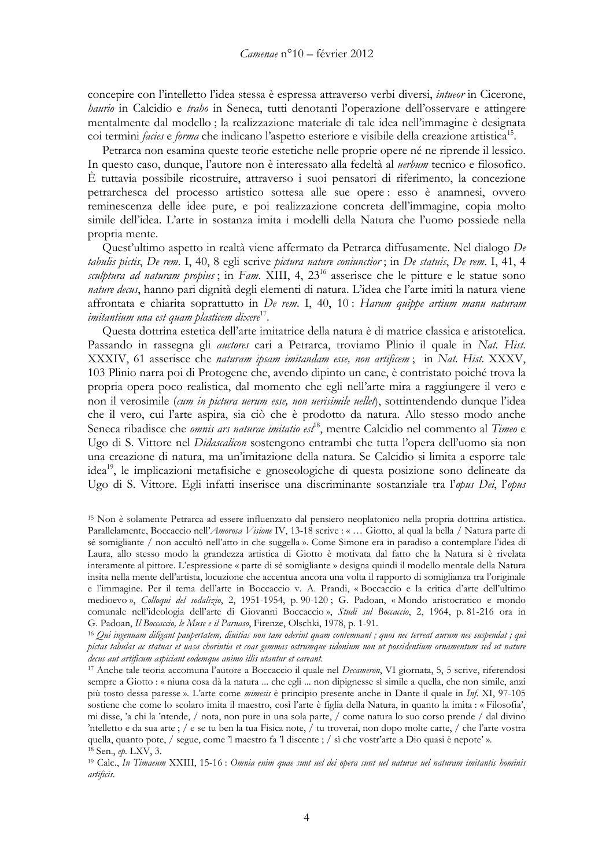concepire con l'intelletto l'idea stessa è espressa attraverso verbi diversi, intueor in Cicerone, *haurio* in Calcidio e *trabo* in Seneca, tutti denotanti l'operazione dell'osservare e attingere mentalmente dal modello; la realizzazione materiale di tale idea nell'immagine è designata coi termini *facies* e *forma* che indicano l'aspetto esteriore e visibile della creazione artistica<sup>15</sup>.

Petrarca non esamina queste teorie estetiche nelle proprie opere né ne riprende il lessico. In questo caso, dunque, l'autore non è interessato alla fedeltà al *uerbum* tecnico e filosofico. È tuttavia possibile ricostruire, attraverso i suoi pensatori di riferimento, la concezione petrarchesca del processo artístico sottesa alle sue opere: esso è anamnesi, ovvero reminescenza delle idee pure, e poi realizzazione concreta dell'immagine, copia molto simile dell'idea. L'arte in sostanza imita i modelli della Natura che l'uomo possiede nella propria mente.

Quest'ultimo aspetto in realtà viene affermato da Petrarca diffusamente. Nel dialogo De tabulis pictis, De rem. I, 40, 8 egli scrive pictura nature coniunctior; in De statuis, De rem. I, 41, 4 sculptura ad naturam propius; in Fam. XIII, 4, 23<sup>16</sup> asserisce che le pitture e le statue sono *nature decus*, hanno pari dignità degli elementi di natura. L'idea che l'arte imiti la natura viene affrontata e chiarita soprattutto in De rem. I, 40, 10 : Harum quippe artium manu naturam *imitantium una est quam plasticem dixere*<sup>17</sup>.

Questa dottrina estetica dell'arte imitatrice della natura è di matrice classica e aristotelica. Passando in rassegna gli *auctores* cari a Petrarca, troviamo Plinio il quale in Nat. Hist. XXXIV, 61 asserisce che naturam ipsam imitandam esse, non artificem; in Nat. Hist. XXXV, 103 Plinio narra poi di Protogene che, avendo dipinto un cane, è contristato poiché trova la propria opera poco realistica, dal momento che egli nell'arte mira a raggiungere il vero e non il verosimile (cum in pictura uerum esse, non uerisimile uellet), sottintendendo dunque l'idea che il vero, cui l'arte aspira, sia ciò che è prodotto da natura. Allo stesso modo anche Seneca ribadisce che omnis ars naturae imitatio est<sup>18</sup>, mentre Calcidio nel commento al Timeo e Ugo di S. Vittore nel *Didascalicon* sostengono entrambi che tutta l'opera dell'uomo sia non una creazione di natura, ma un'imitazione della natura. Se Calcidio si limita a esporre tale idea<sup>19</sup>, le implicazioni metafisiche e gnoseologiche di questa posizione sono delineate da Ugo di S. Vittore. Egli infatti inserisce una discriminante sostanziale tra l'opus Dei, l'opus

<sup>&</sup>lt;sup>15</sup> Non è solamente Petrarca ad essere influenzato dal pensiero neoplatonico nella propria dottrina artistica. Parallelamente, Boccaccio nell'Amorosa Visione IV, 13-18 scrive : « ... Giotto, al qual la bella / Natura parte di sé somigliante / non accultò nell'atto in che suggella ». Come Simone era in paradiso a contemplare l'idea di Laura, allo stesso modo la grandezza artistica di Giotto è motivata dal fatto che la Natura si è rivelata interamente al pittore. L'espressione « parte di sé somigliante » designa quindi il modello mentale della Natura insita nella mente dell'artista, locuzione che accentua ancora una volta il rapporto di somiglianza tra l'originale e l'immagine. Per il tema dell'arte in Boccaccio v. A. Prandi, « Boccaccio e la critica d'arte dell'ultimo medioevo », Colloqui del sodalizio, 2, 1951-1954, p. 90-120; G. Padoan, « Mondo aristocratico e mondo comunale nell'ideologia dell'arte di Giovanni Boccaccio», Studi sul Boccaccio, 2, 1964, p. 81-216 ora in G. Padoan, Il Boccaccio, le Muse e il Parnaso, Firenze, Olschki, 1978, p. 1-91.

<sup>&</sup>lt;sup>16</sup> Qui ingenuam diligant paupertatem, diuitias non tam oderint quam contemnant; quos nec terreat aurum nec suspendat; qui pictas tabulas ac statuas et uasa chorintia et coas gemmas ostrumque sidonium non ut possidentium ornamentum sed ut nature decus aut artificum aspiciant eodemque animo illis utantur et careant.

<sup>17</sup> Anche tale teoria accomuna l'autore a Boccaccio il quale nel Decameron, VI giornata, 5, 5 scrive, riferendosi sempre a Giotto : « niuna cosa dà la natura ... che egli ... non dipignesse sì simile a quella, che non simile, anzi più tosto dessa paresse ». L'arte come mimesis è principio presente anche in Dante il quale in Inf. XI, 97-105 sostiene che come lo scolaro imita il maestro, così l'arte è figlia della Natura, in quanto la imita : « Filosofia', mi disse, 'a chi la 'ntende, / nota, non pure in una sola parte, / come natura lo suo corso prende / dal divino 'ntelletto e da sua arte; / e se tu ben la tua Fisica note, / tu troverai, non dopo molte carte, / che l'arte vostra quella, quanto pote, / segue, come 'l maestro fa 'l discente ; / sì che vostr'arte a Dio quasi è nepote'».  $18$  Sen., ep. LXV, 3.

<sup>&</sup>lt;sup>19</sup> Calc., In Timaeum XXIII, 15-16 : Omnia enim quae sunt uel dei opera sunt uel naturae uel naturam imitantis hominis artificis.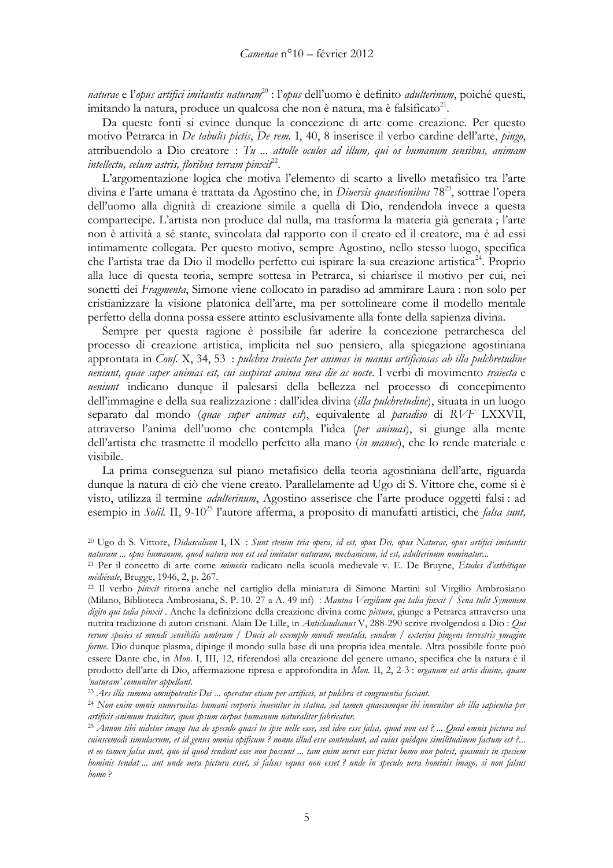naturae e l'opus artifici imitantis naturam<sup>20</sup>: l'opus dell'uomo è definito adulterinum, poiché questi, imitando la natura, produce un qualcosa che non è natura, ma è falsificato<sup>21</sup>.

Da queste fonti si evince dunque la concezione di arte come creazione. Per questo motivo Petrarca in *De tabulis pictis*, *De rem.* I, 40, 8 inserisce il verbo cardine dell'arte, *pingo*, attribuendolo a Dio creatore : Tu ... attolle oculos ad illum, qui os humanum sensibus, animam intellectu, celum astris, floribus terram pin $x$ it<sup>22</sup>.

L'argomentazione logica che motiva l'elemento di scarto a livello metafisico tra l'arte divina e l'arte umana è trattata da Agostino che, in Diversis quaestionibus 78<sup>23</sup>, sottrae l'opera dell'uomo alla dignità di creazione simile a quella di Dio, rendendola invece a questa compartecipe. L'artista non produce dal nulla, ma trasforma la materia già generata; l'arte non è attività a sé stante, svincolata dal rapporto con il creato ed il creatore, ma è ad essi intimamente collegata. Per questo motivo, sempre Agostino, nello stesso luogo, specifica che l'artista trae da Dio il modello perfetto cui ispirare la sua creazione artistica<sup>24</sup>. Proprio alla luce di questa teoria, sempre sottesa in Petrarca, si chiarisce il motivo per cui, nei sonetti dei Fragmenta, Simone viene collocato in paradiso ad ammirare Laura : non solo per cristianizzare la visione platonica dell'arte, ma per sottolineare come il modello mentale perfetto della donna possa essere attinto esclusivamente alla fonte della sapienza divina.

Sempre per questa ragione è possibile far aderire la concezione petrarchesca del processo di creazione artistica, implicita nel suo pensiero, alla spiegazione agostiniana approntata in Conf. X, 34, 53 : pulchra traiecta per animas in manus artificiosas ab illa pulchretudine ueniunt, quae super animas est, cui suspirat anima mea die ac nocte. I verbi di movimento traiecta e ueniunt indicano dunque il palesarsi della bellezza nel processo di concepimento dell'immagine e della sua realizzazione : dall'idea divina *(illa pulchretudine*), situata in un luogo separato dal mondo (quae super animas est), equivalente al paradiso di RVF LXXVII, attraverso l'anima dell'uomo che contempla l'idea (per animas), si giunge alla mente dell'artista che trasmette il modello perfetto alla mano *(in manus*), che lo rende materiale e visibile.

La prima conseguenza sul piano metafísico della teoria agostiniana dell'arte, riguarda dunque la natura di ciò che viene creato. Parallelamente ad Ugo di S. Vittore che, come si è visto, utilizza il termine *adulterinum*, Agostino asserisce che l'arte produce oggetti falsi : ad esempio in *Solil*. II, 9-10<sup>25</sup> l'autore afferma, a proposito di manufatti artistici, che *falsa sunt*,

<sup>23</sup> Ars illa summa omnipotentis Dei ... operatur etiam per artifices, ut pulchra et congruentia faciant.

<sup>24</sup> Non enim omnis numerositas humani corporis inuenitur in statua, sed tamen quaecumque ibi inuenitur ab illa sapientia per artificis animum traicitur, quae ipsum corpus humanum naturaliter fabricatur.

<sup>&</sup>lt;sup>20</sup> Ugo di S. Vittore, Didascalicon I, IX : Sunt etenim tria opera, id est, opus Dei, opus Naturae, opus artifici imitantis naturam ... opus humanum, quod natura non est sed imitatur naturam, mechanicum, id est, adulterinum nominatur...

<sup>&</sup>lt;sup>21</sup> Per il concetto di arte come mimesis radicato nella scuola medievale v. E. De Bruyne, Etudes d'esthétique médiévale, Brugge, 1946, 2, p. 267.

<sup>&</sup>lt;sup>22</sup> Il verbo *pinxit* ritorna anche nel cartiglio della miniatura di Simone Martini sul Virgilio Ambrosiano (Milano, Biblioteca Ambrosiana, S. P. 10. 27 a A. 49 inf) : Mantua Vergilium qui talia finxit / Sena tulit Symonem digito qui talia pinxit. Anche la definizione della creazione divina come pictura, giunge a Petrarca attraverso una nutrita tradizione di autori cristiani. Alain De Lille, in Anticlaudianus V, 288-290 scrive rivolgendosi a Dio: Qui rerum species et mundi sensibilis umbram / Ducis ab exemplo mundi mentalis, eundem / exterius pingens terrestris ymagine forme. Dio dunque plasma, dipinge il mondo sulla base di una propria idea mentale. Altra possibile fonte può essere Dante che, in Mon. I, III, 12, riferendosi alla creazione del genere umano, specifica che la natura è il prodotto dell'arte di Dio, affermazione ripresa e approfondita in Mon. II, 2, 2-3 : organum est artis diuine, quam 'naturam' comuniter appellant.

<sup>&</sup>lt;sup>25</sup> Annon tibi uidetur imago tua de speculo quasi tu ipse uelle esse, sed ideo esse falsa, quod non est ? ... Quid omnis pictura uel cuiuscemodi simulacrum, et id genus omnia opificum ? nonne illud esse contendunt, ad cuius quidque similitudinem factum est ?... et eo tamen falsa sunt, quo id quod tendunt esse non possunt ... tam enim uerus esse pictus homo non potest, quamuis in speciem bominis tendat ... aut unde uera pictura esset, si falsus equus non esset? unde in speculo uera hominis imago, si non falsus  $bomo$ ?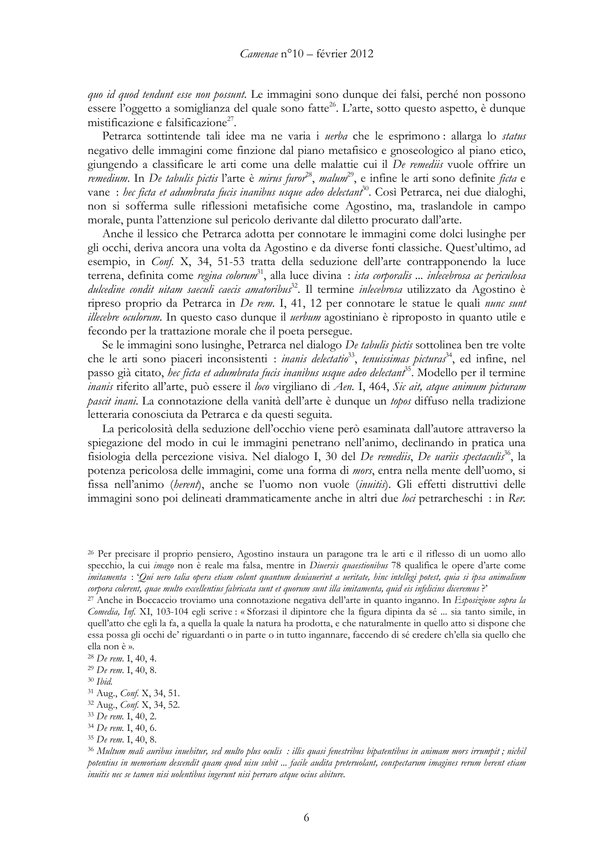quo id quod tendunt esse non possunt. Le immagini sono dunque dei falsi, perché non possono essere l'oggetto a somiglianza del quale sono fatte<sup>26</sup>. L'arte, sotto questo aspetto, è dunque mistificazione e falsificazione<sup>27</sup>.

Petrarca sottintende tali idee ma ne varia i *uerba* che le esprimono : allarga lo *status* negativo delle immagini come finzione dal piano metafisico e gnoseologico al piano etico, giungendo a classificare le arti come una delle malattie cui il De remediis vuole offrire un remedium. In De tabulis pictis l'arte è mirus furor<sup>28</sup>, malum<sup>29</sup>, e infine le arti sono definite ficta e vane : hec ficta et adumbrata fucis inanibus usque adeo delectant<sup>30</sup>. Così Petrarca, nei due dialoghi, non si sofferma sulle riflessioni metafisiche come Agostino, ma, traslandole in campo morale, punta l'attenzione sul pericolo derivante dal diletto procurato dall'arte.

Anche il lessico che Petrarca adotta per connotare le immagini come dolci lusinghe per gli occhi, deriva ancora una volta da Agostino e da diverse fonti classiche. Quest'ultimo, ad esempio, in *Conf.* X, 34, 51-53 tratta della seduzione dell'arte contrapponendo la luce terrena, definita come regina colorum<sup>31</sup>, alla luce divina : *ista corporalis ... inlecebrosa ac periculosa* dulcedine condit uitam saeculi caecis amatoribus<sup>32</sup>. Il termine inlecebrosa utilizzato da Agostino è ripreso proprio da Petrarca in De rem. I, 41, 12 per connotare le statue le quali nunc sunt *illecebre oculorum*. In questo caso dunque il *uerbum* agostiniano è riproposto in quanto utile e fecondo per la trattazione morale che il poeta persegue.

Se le immagini sono lusinghe, Petrarca nel dialogo De tabulis pictis sottolinea ben tre volte che le arti sono piaceri inconsistenti : *inanis delectatio*<sup>33</sup>, *tenuissimas picturas*<sup>34</sup>, ed infine, nel passo già citato, *het ficta et adumbrata fucis inanibus usque adeo delectant*<sup>35</sup>. Modello per il termine *inanis* riferito all'arte, può essere il loco virgiliano di Aen. I, 464, Sic ait, atque animum picturam pascit inani. La connotazione della vanità dell'arte è dunque un topos diffuso nella tradizione letteraria conosciuta da Petrarca e da questi seguita.

La pericolosità della seduzione dell'occhio viene però esaminata dall'autore attraverso la spiegazione del modo in cui le immagini penetrano nell'animo, declinando in pratica una fisiologia della percezione visiva. Nel dialogo I, 30 del De remediis, De uariis spectaculis<sup>36</sup>, la potenza pericolosa delle immagini, come una forma di *mors*, entra nella mente dell'uomo, si fissa nell'animo (herent), anche se l'uomo non vuole (inuitis). Gli effetti distruttivi delle immagini sono poi delineati drammaticamente anche in altri due loci petrarcheschi : in Rer.

<sup>26</sup> Per precisare il proprio pensiero, Agostino instaura un paragone tra le arti e il riflesso di un uomo allo specchio, la cui imago non è reale ma falsa, mentre in Diuersis quaestionibus 78 qualifica le opere d'arte come imitamenta : 'Qui uero talia opera etiam colunt quantum deuiauerint a ueritate, hinc intellegi potest, quia si ipsa animalium corpora colerent, quae multo excellentius fabricata sunt et quorum sunt illa imitamenta, quid eis infelicius diceremus?

<sup>27</sup> Anche in Boccaccio troviamo una connotazione negativa dell'arte in quanto inganno. In Esposizione sopra la Comedia, Inf. XI, 103-104 egli scrive : « Sforzasi il dipintore che la figura dipinta da sé ... sia tanto simile, in quell'atto che egli la fa, a quella la quale la natura ha prodotta, e che naturalmente in quello atto si dispone che essa possa gli occhi de' riguardanti o in parte o in tutto ingannare, faccendo di sé credere ch'ella sia quello che ella non è ».

<sup>&</sup>lt;sup>28</sup> De rem. I, 40, 4.

<sup>&</sup>lt;sup>29</sup> De rem. I, 40, 8.

 $^{\rm 30}$  Ibid.

<sup>&</sup>lt;sup>31</sup> Aug., *Conf. X*, 34, 51.

<sup>&</sup>lt;sup>32</sup> Aug., Conf. X, 34, 52.

<sup>&</sup>lt;sup>33</sup> De rem. I, 40, 2.

<sup>&</sup>lt;sup>34</sup> De rem. I, 40, 6.

<sup>&</sup>lt;sup>35</sup> De rem. I, 40, 8.

<sup>&</sup>lt;sup>36</sup> Multum mali auribus inuehitur, sed multo plus oculis : illis quasi fenestribus bipatentibus in animam mors irrumpit; nichil potentius in memoriam descendit quam quod uisu subit ... facile audita preteruolant, conspectarum imagines rerum herent etiam inuitis nec se tamen nisi uolentibus ingerunt nisi perraro atque ocius abiture.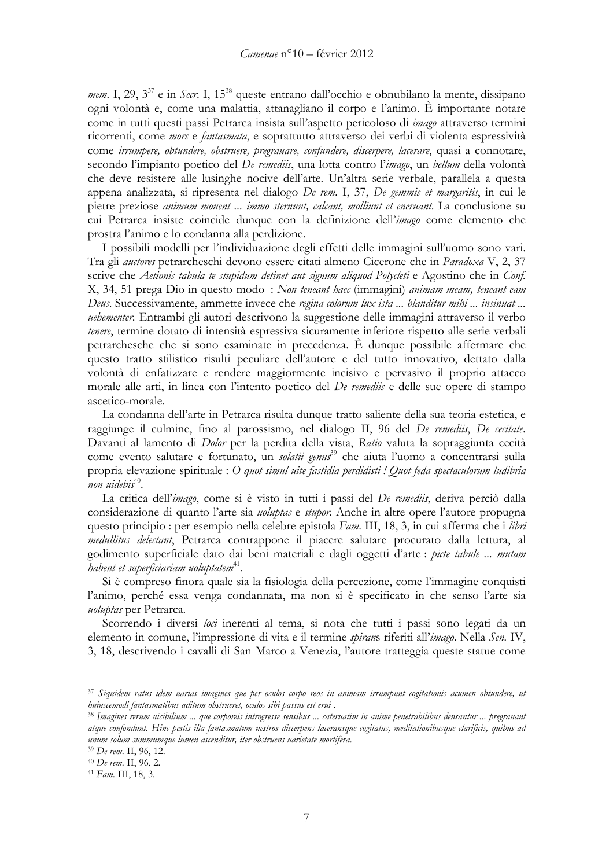mem. I, 29, 3<sup>37</sup> e in Secr. I, 15<sup>38</sup> queste entrano dall'occhio e obnubilano la mente, dissipano ogni volontà e, come una malattia, attanagliano il corpo e l'animo. È importante notare come in tutti questi passi Petrarca insista sull'aspetto pericoloso di *imago* attraverso termini ricorrenti, come *mors* e *fantasmata*, e soprattutto attraverso dei verbi di violenta espressività come irrumpere, obtundere, obstruere, pregrauare, confundere, discerpere, lacerare, quasi a connotare, secondo l'impianto poetico del De remediis, una lotta contro l'imago, un bellum della volontà che deve resistere alle lusinghe nocive dell'arte. Un'altra serie verbale, parallela a questa appena analizzata, si ripresenta nel dialogo De rem. I, 37, De gemmis et margaritis, in cui le pietre preziose *animum mouent ... immo sternunt, calcant, molliunt et eneruant*. La conclusione su cui Petrarca insiste coincide dunque con la definizione dell'imago come elemento che prostra l'animo e lo condanna alla perdizione.

I possibili modelli per l'individuazione degli effetti delle immagini sull'uomo sono vari. Tra gli *auctores* petrarcheschi devono essere citati almeno Cicerone che in *Paradoxa* V, 2, 37 scrive che Aetionis tabula te stupidum detinet aut signum aliquod Polycleti e Agostino che in Conf. X, 34, 51 prega Dio in questo modo: Non teneant haec (immagini) animam meam, teneant eam Deus. Successivamente, ammette invece che regina colorum lux ista ... blanditur mihi ... insinuat ... uehementer. Entrambi gli autori descrivono la suggestione delle immagini attraverso il verbo tenere, termine dotato di intensità espressiva sicuramente inferiore rispetto alle serie verbali petrarchesche che si sono esaminate in precedenza. È dunque possibile affermare che questo tratto stilistico risulti peculiare dell'autore e del tutto innovativo, dettato dalla volontà di enfatizzare e rendere maggiormente incisivo e pervasivo il proprio attacco morale alle arti, in linea con l'intento poetico del De remediis e delle sue opere di stampo ascetico-morale.

La condanna dell'arte in Petrarca risulta dunque tratto saliente della sua teoria estetica, e raggiunge il culmine, fino al parossismo, nel dialogo II, 96 del De remediis, De cecitate. Davanti al lamento di *Dolor* per la perdita della vista, Ratio valuta la sopraggiunta cecità come evento salutare e fortunato, un *solatii genus*<sup>39</sup> che aiuta l'uomo a concentrarsi sulla propria elevazione spirituale : O quot simul uite fastidia perdidisti ! Quot feda spectaculorum ludibria non uidebis $40$ .

La critica dell'imago, come si è visto in tutti i passi del De remediis, deriva perciò dalla considerazione di quanto l'arte sia *uoluptas* e *stupor*. Anche in altre opere l'autore propugna questo principio: per esempio nella celebre epistola Fam. III, 18, 3, in cui afferma che i libri medullitus delectant, Petrarca contrappone il piacere salutare procurato dalla lettura, al godimento superficiale dato dai beni materiali e dagli oggetti d'arte : picte tabule ... mutam habent et superficiariam uoluptatem $41$ .

Si è compreso finora quale sia la fisiologia della percezione, come l'immagine conquisti l'animo, perché essa venga condannata, ma non si è specificato in che senso l'arte sia uoluptas per Petrarca.

Scorrendo i diversi loci inerenti al tema, si nota che tutti i passi sono legati da un elemento in comune, l'impressione di vita e il termine spirans riferiti all'imago. Nella Sen. IV, 3, 18, descrivendo i cavalli di San Marco a Venezia, l'autore tratteggia queste statue come

<sup>37</sup> Siquidem ratus idem uarias imagines que per oculos corpo reos in animam irrumpunt cogitationis acumen obtundere, ut huiuscemodi fantasmatibus aditum obstrueret, oculos sibi passus est erui.

<sup>&</sup>lt;sup>38</sup> Imagines rerum uisibilium … que corporeis introgresse sensibus … cateruatim in anime penetrabilibus densantur … pregrauant atque confondunt. Hinc pestis illa fantasmatum uestros discerpens laceransque cogitatus, meditationibusque clarificis, quibus ad unum solum summumque lumen ascenditur, iter obstruens uarietate mortifera.

<sup>&</sup>lt;sup>39</sup> De rem. II, 96, 12.

<sup>&</sup>lt;sup>40</sup> De rem. II, 96, 2.

<sup>&</sup>lt;sup>41</sup> Fam. III, 18, 3.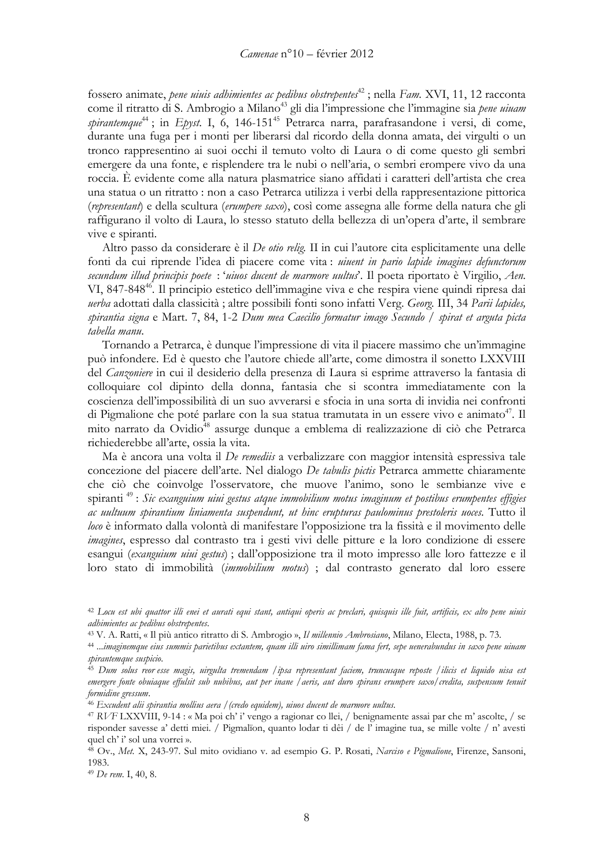fossero animate, *pene uiuis adhimientes ac pedibus obstrepentes*<sup>42</sup>; nella Fam. XVI, 11, 12 racconta come il ritratto di S. Ambrogio a Milano<sup>43</sup> gli dia l'impressione che l'immagine sia pene uiuam spirantemque<sup>44</sup>; in *Epyst.* I, 6, 146-151<sup>45</sup> Petrarca narra, parafrasandone i versi, di come, durante una fuga per i monti per liberarsi dal ricordo della donna amata, dei virgulti o un tronco rappresentino ai suoi occhi il temuto volto di Laura o di come questo gli sembri emergere da una fonte, e risplendere tra le nubi o nell'aria, o sembri erompere vivo da una roccia. È evidente come alla natura plasmatrice siano affidati i caratteri dell'artista che crea una statua o un ritratto: non a caso Petrarca utilizza i verbi della rappresentazione pittorica (representant) e della scultura (erumpere saxo), così come assegna alle forme della natura che gli raffigurano il volto di Laura, lo stesso statuto della bellezza di un'opera d'arte, il sembrare vive e spiranti.

Altro passo da considerare è il *De otio relig*. Il in cui l'autore cita esplicitamente una delle fonti da cui riprende l'idea di piacere come vita: *uiuent in pario lapide imagines defunctorum* secundum illud principis poete : 'uiuos ducent de marmore uultus'. Il poeta riportato è Virgilio, Aen. VI, 847-848<sup>46</sup>. Il principio estetico dell'immagine viva e che respira viene quindi ripresa dai uerba adottati dalla classicità; altre possibili fonti sono infatti Verg. Georg. III, 34 Parii lapides, spirantia signa e Mart. 7, 84, 1-2 Dum mea Caecilio formatur imago Secundo / spirat et arguta picta tabella manu.

Tornando a Petrarca, è dunque l'impressione di vita il piacere massimo che un'immagine può infondere. Ed è questo che l'autore chiede all'arte, come dimostra il sonetto LXXVIII del *Canzoniere* in cui il desiderio della presenza di Laura si esprime attraverso la fantasia di colloquiare col dipinto della donna, fantasia che si scontra immediatamente con la coscienza dell'impossibilità di un suo avverarsi e sfocia in una sorta di invidia nei confronti di Pigmalione che poté parlare con la sua statua tramutata in un essere vivo e animato<sup>47</sup>. Il mito narrato da Ovidio<sup>48</sup> assurge dunque a emblema di realizzazione di ciò che Petrarca richiederebbe all'arte, ossia la vita.

Ma è ancora una volta il De remediis a verbalizzare con maggior intensità espressiva tale concezione del piacere dell'arte. Nel dialogo De tabulis pictis Petrarca ammette chiaramente che ciò che coinvolge l'osservatore, che muove l'animo, sono le sembianze vive e spiranti<sup>49</sup>: Sic exanguium uiui gestus atque immobilium motus imaginum et postibus erumpentes effigies ac uultuum spirantium liniamenta suspendunt, ut hinc erupturas paulominus prestoleris uoces. Tutto il loco è informato dalla volontà di manifestare l'opposizione tra la fissità e il movimento delle imagines, espresso dal contrasto tra i gesti vivi delle pitture e la loro condizione di essere esangui *(exanguium uiui gestus*); dall'opposizione tra il moto impresso alle loro fattezze e il loro stato di immobilità (immobilium motus) ; dal contrasto generato dal loro essere

<sup>&</sup>lt;sup>42</sup> Locu est ubi quattor illi enei et aurati equi stant, antiqui operis ac preclari, quisquis ille fuit, artificis, ex alto pene uiuis adhimientes ac pedibus obstrepentes.

<sup>&</sup>lt;sup>43</sup> V. A. Ratti, « Il più antico ritratto di S. Ambrogio », Il millennio Ambrosiano, Milano, Electa, 1988, p. 73.

<sup>44 ...</sup>imaginemque eius summis parietibus extantem, quam illi uiro simillimam fama fert, sepe uenerabundus in saxo pene uiuam spirantemque suspicio.

<sup>&</sup>lt;sup>45</sup> Dum solus reor esse magis, uirgulta tremendam /ipsa representant faciem, truncusque reposte /ilicis et liquido uisa est emergere fonte obuiaque effulsit sub nubibus, aut per inane /aeris, aut duro spirans erumpere saxo/credita, suspensum tenuit formidine gressum.

<sup>46</sup> Excudent alii spirantia mollius aera / (credo equidem), uiuos ducent de marmore uultus.

<sup>&</sup>lt;sup>47</sup> RVF LXXVIII, 9-14 : « Ma poi ch' i' vengo a ragionar co llei, / benignamente assai par che m' ascolte, / se risponder savesse a' detti miei. / Pigmalion, quanto lodar ti dêi / de l'imagine tua, se mille volte / n' avesti quel ch' i' sol una vorrei ».

<sup>48</sup> Ov., Met. X, 243-97. Sul mito ovidiano v. ad esempio G. P. Rosati, Narciso e Pigmalione, Firenze, Sansoni, 1983.

<sup>&</sup>lt;sup>49</sup> De rem. I, 40, 8.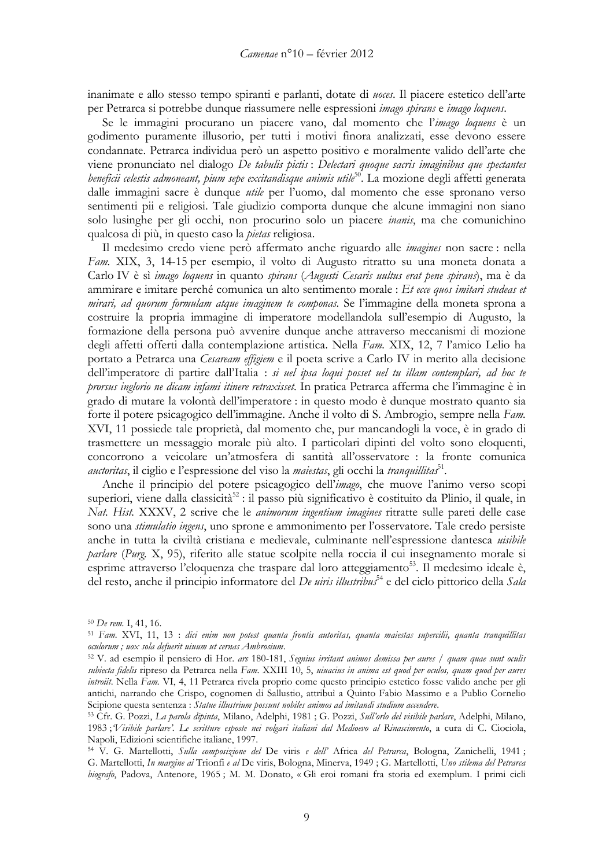inanimate e allo stesso tempo spiranti e parlanti, dotate di *noces*. Il piacere estetico dell'arte per Petrarca si potrebbe dunque riassumere nelle espressioni *imago spirans* e *imago loquens*.

Se le immagini procurano un piacere vano, dal momento che l'imago loquens è un godimento puramente illusorio, per tutti i motivi finora analizzati, esse devono essere condannate. Petrarca individua però un aspetto positivo e moralmente valido dell'arte che viene pronunciato nel dialogo De tabulis pictis: Delectari quoque sacris imaginibus que spectantes beneficii celestis admoneant, pium sepe excitandisque animis utile<sup>50</sup>. La mozione degli affetti generata dalle immagini sacre è dunque *utile* per l'uomo, dal momento che esse spronano verso sentimenti pii e religiosi. Tale giudizio comporta dunque che alcune immagini non siano solo lusinghe per gli occhi, non procurino solo un piacere *inanis*, ma che comunichino qualcosa di più, in questo caso la *pietas* religiosa.

Il medesimo credo viene però affermato anche riguardo alle *imagines* non sacre : nella Fam. XIX, 3, 14-15 per esempio, il volto di Augusto ritratto su una moneta donata a Carlo IV è sì imago loquens in quanto spirans (Augusti Cesaris uultus erat pene spirans), ma è da ammirare e imitare perché comunica un alto sentimento morale : Et ecce quos imitari studeas et *mirari, ad quorum formulam atque imaginem te componas.* Se l'immagine della moneta sprona a costruire la propria immagine di imperatore modellandola sull'esempio di Augusto, la formazione della persona può avvenire dunque anche attraverso meccanismi di mozione degli affetti offerti dalla contemplazione artistica. Nella Fam. XIX, 12, 7 l'amico Lelio ha portato a Petrarca una Cesaream effigiem e il poeta scrive a Carlo IV in merito alla decisione dell'imperatore di partire dall'Italia : si uel ipsa loqui posset uel tu illam contemplari, ad hoc te prorsus inglorio ne dicam infami itinere retraxisset. In pratica Petrarca afferma che l'immagine è in grado di mutare la volontà dell'imperatore : in questo modo è dunque mostrato quanto sia forte il potere psicagogico dell'immagine. Anche il volto di S. Ambrogio, sempre nella Fam. XVI, 11 possiede tale proprietà, dal momento che, pur mancandogli la voce, è in grado di trasmettere un messaggio morale più alto. I particolari dipinti del volto sono eloquenti, concorrono a veicolare un'atmosfera di santità all'osservatore : la fronte comunica *auctoritas*, il ciglio e l'espressione del viso la *maiestas*, gli occhi la *tranquillitas*<sup>51</sup>.

Anche il principio del potere psicagogico dell'imago, che muove l'animo verso scopi superiori, viene dalla classicità<sup>52</sup>: il passo più significativo è costituito da Plinio, il quale, in Nat. Hist. XXXV, 2 scrive che le animorum ingentium imagines ritratte sulle pareti delle case sono una *stimulatio ingens*, uno sprone e ammonimento per l'osservatore. Tale credo persiste anche in tutta la civiltà cristiana e medievale, culminante nell'espressione dantesca uisibile *parlare (Purg.* X, 95), riferito alle statue scolpite nella roccia il cui insegnamento morale si esprime attraverso l'eloquenza che traspare dal loro atteggiamento<sup>53</sup>. Il medesimo ideale è, del resto, anche il principio informatore del *De uiris illustribus*<sup>54</sup> e del ciclo pittorico della *Sala* 

<sup>&</sup>lt;sup>50</sup> De rem. I, 41, 16.

<sup>51</sup> Fam. XVI, 11, 13 : dici enim non potest quanta frontis autoritas, quanta maiestas supercilii, quanta tranquillitas oculorum; uox sola defuerit uiuum ut cernas Ambrosium.

<sup>52</sup> V. ad esempio il pensiero di Hor. ars 180-181, Segnius irritant animos demissa per aures / quam quae sunt oculis subiecta fidelis ripreso da Petrarca nella Fam. XXIII 10, 5, uiuacius in anima est quod per oculos, quam quod per aures introiit. Nella Fam. VI, 4, 11 Petrarca rivela proprio come questo principio estetico fosse valido anche per gli antichi, narrando che Crispo, cognomen di Sallustio, attribuì a Quinto Fabio Massimo e a Publio Cornelio Scipione questa sentenza : Statue illustrium possunt nobiles animos ad imitandi studium accendere.

<sup>53</sup> Cfr. G. Pozzi, La parola dipinta, Milano, Adelphi, 1981 ; G. Pozzi, Sull'orlo del visibile parlare, Adelphi, Milano, 1983; Visibile parlare'. Le scritture esposte nei volgari italiani dal Medioevo al Rinascimento, a cura di C. Ciociola, Napoli, Edizioni scientifiche italiane, 1997.

<sup>54</sup> V. G. Martellotti, Sulla composizione del De viris e dell' Africa del Petrarca, Bologna, Zanichelli, 1941; G. Martellotti, In margine ai Trionfi e al De viris, Bologna, Minerva, 1949 ; G. Martellotti, Uno stilema del Petrarca biografo, Padova, Antenore, 1965; M. M. Donato, «Gli eroi romani fra storia ed exemplum. I primi cicli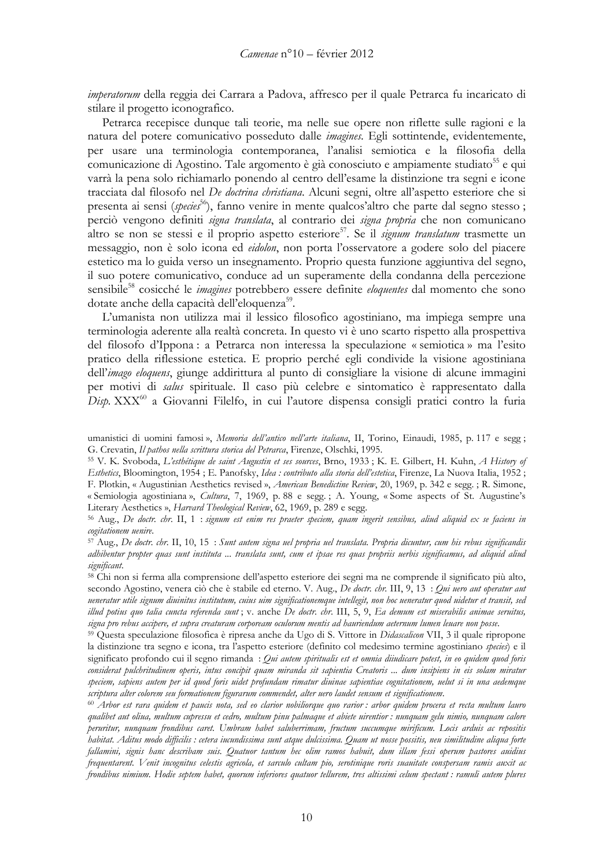*imperatorum* della reggia dei Carrara a Padova, affresco per il quale Petrarca fu incaricato di stilare il progetto iconografico.

Petrarca recepisce dunque tali teorie, ma nelle sue opere non riflette sulle ragioni e la natura del potere comunicativo posseduto dalle *imagines*. Egli sottintende, evidentemente, per usare una terminologia contemporanea, l'analisi semiotica e la filosofia della comunicazione di Agostino. Tale argomento è già conosciuto e ampiamente studiato<sup>55</sup> e qui varrà la pena solo richiamarlo ponendo al centro dell'esame la distinzione tra segni e icone tracciata dal filosofo nel De doctrina christiana. Alcuni segni, oltre all'aspetto esteriore che si presenta ai sensi (*species*<sup>56</sup>), fanno venire in mente qualcos' altro che parte dal segno stesso; perciò vengono definiti signa translata, al contrario dei signa propria che non comunicano altro se non se stessi e il proprio aspetto esteriore<sup>57</sup>. Se il *signum translatum* trasmette un messaggio, non è solo icona ed *eidolon*, non porta l'osservatore a godere solo del piacere estetico ma lo guida verso un insegnamento. Proprio questa funzione aggiuntiva del segno, il suo potere comunicativo, conduce ad un superamente della condanna della percezione sensibile<sup>58</sup> cosicché le *imagines* potrebbero essere definite *eloquentes* dal momento che sono dotate anche della capacità dell'eloquenza<sup>59</sup>.

L'umanista non utilizza mai il lessico filosofico agostiniano, ma impiega sempre una terminologia aderente alla realtà concreta. In questo vi è uno scarto rispetto alla prospettiva del filosofo d'Ippona: a Petrarca non interessa la speculazione « semiotica » ma l'esito pratico della riflessione estetica. E proprio perché egli condivide la visione agostiniana dell'imago eloquens, giunge addirittura al punto di consigliare la visione di alcune immagini per motivi di salus spirituale. Il caso più celebre e sintomatico è rappresentato dalla Disp. XXX<sup>60</sup> a Giovanni Filelfo, in cui l'autore dispensa consigli pratici contro la furia

55 V. K. Svoboda, L'esthétique de saint Augustin et ses sources, Brno, 1933 ; K. E. Gilbert, H. Kuhn, A History of Esthetics, Bloomington, 1954; E. Panofsky, Idea : contributo alla storia dell'estetica, Firenze, La Nuova Italia, 1952; F. Plotkin, « Augustinian Aesthetics revised », American Benedictine Review, 20, 1969, p. 342 e segg.; R. Simone, « Semiologia agostiniana », Cultura, 7, 1969, p. 88 e segg.; A. Young, « Some aspects of St. Augustine's Literary Aesthetics », Harvard Theological Review, 62, 1969, p. 289 e segg.

<sup>56</sup> Aug., De doctr. chr. II, 1 : signum est enim res praeter speciem, quam ingerit sensibus, aliud aliquid ex se faciens in cogitationem uenire.

<sup>57</sup> Aug., De doctr. chr. II, 10, 15 : Sunt autem signa uel propria uel translata. Propria dicuntur, cum his rebus significandis adhibentur propter quas sunt instituta ... translata sunt, cum et ipsae res quas propriis uerbis significamus, ad aliquid aliud significant.

<sup>58</sup> Chi non si ferma alla comprensione dell'aspetto esteriore dei segni ma ne comprende il significato più alto, secondo Agostino, venera ciò che è stabile ed eterno. V. Aug., De doctr. chr. III, 9, 13 : Qui uero aut operatur aut ueneratur utile signum diuinitus institutum, cuius uim significationemque intellegit, non hoc ueneratur quod uidetur et transit, sed illud potius quo talia cuncta referenda sunt; v. anche De doctr. chr. III, 5, 9, Ea demum est miserabilis animae seruitus, signa pro rebus accipere, et supra creaturam corpoream oculorum mentis ad hauriendum aeternum lumen leuare non posse.

<sup>59</sup> Questa speculazione filosofica è ripresa anche da Ugo di S. Vittore in *Didascalicon* VII, 3 il quale ripropone la distinzione tra segno e icona, tra l'aspetto esteriore (definito col medesimo termine agostiniano species) e il significato profondo cui il segno rimanda : Qui autem spiritualis est et omnia diiudicare potest, in eo quidem quod foris considerat pulchritudinem operis, intus concipit quam miranda sit sapientia Creatoris ... dum insipiens in eis solam miratur speciem, sapiens autem per id quod foris uidet profundam rimatur diuinae sapientiae cognitationem, uelut si in una aedemque scriptura alter colorem seu formationem figurarum commendet, alter uero laudet sensum et significationem.

60 Arbor est rara quidem et paucis nota, sed eo clarior nobiliorque quo rarior: arbor quidem procera et recta multum lauro qualibet aut olina, multum cupressu et cedro, multum pinu palmaque et abiete uirentior : nunquam gelu nimio, nunquam calore peruritur, nunquam frondibus caret. Umbram habet saluberrimam, fructum succumque mirificum. Locis arduis ac repositis habitat. Aditus modo difficilis : cetera iucundissima sunt atque dulcissima. Quam ut nosse possitis, neu similitudine aliqua forte fallamini, signis hanc describam suis. Quatuor tantum hec olim ramos habuit, dum illam fessi operum pastores auidius frequentarent. Venit incognitus celestis agricola, et sarculo cultam pio, serotinique roris suauitate conspersam ramis auxit ac frondibus nimium. Hodie septem habet, quorum inferiores quatuor tellurem, tres altissimi celum spectant : ramuli autem plures

umanistici di uomini famosi», Memoria dell'antico nell'arte italiana, II, Torino, Einaudi, 1985, p. 117 e segg; G. Crevatin, Il pathos nella scrittura storica del Petrarca, Firenze, Olschki, 1995.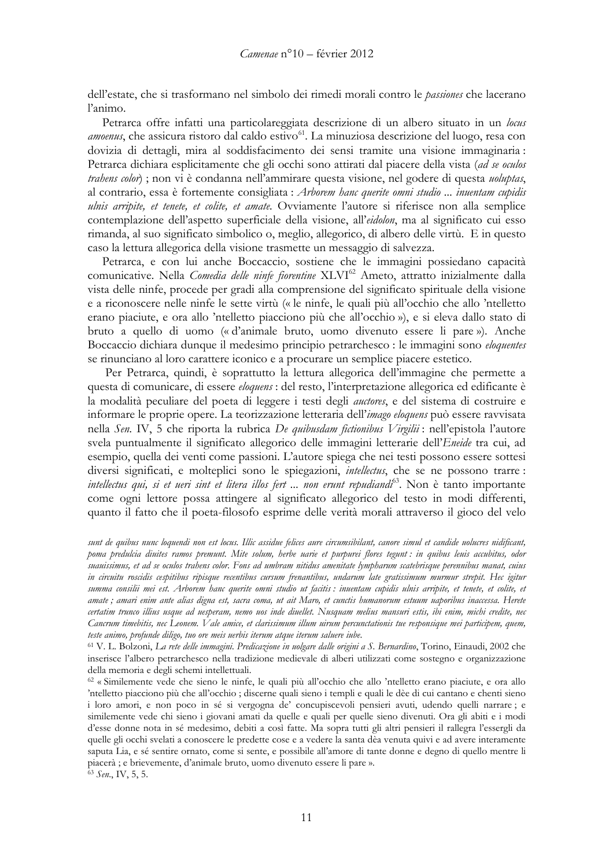dell'estate, che si trasformano nel simbolo dei rimedi morali contro le *passiones* che lacerano l'animo.

Petrarca offre infatti una particolareggiata descrizione di un albero situato in un locus *amoenus*, che assicura ristoro dal caldo estivo<sup>61</sup>. La minuziosa descrizione del luogo, resa con dovizia di dettagli, mira al soddisfacimento dei sensi tramite una visione immaginaria: Petrarca dichiara esplicitamente che gli occhi sono attirati dal piacere della vista (ad se oculos trahens color); non vi è condanna nell'ammirare questa visione, nel godere di questa *uoluptas*, al contrario, essa è fortemente consigliata : Arborem hanc querite omni studio ... inuentam cupidis ulnis arripite, et tenete, et colite, et amate. Ovviamente l'autore si riferisce non alla semplice contemplazione dell'aspetto superficiale della visione, all'eidolon, ma al significato cui esso rimanda, al suo significato simbolico o, meglio, allegorico, di albero delle virtù. E in questo caso la lettura allegorica della visione trasmette un messaggio di salvezza.

Petrarca, e con lui anche Boccaccio, sostiene che le immagini possiedano capacità comunicative. Nella Comedia delle ninfe fiorentine XLVI<sup>62</sup> Ameto, attratto inizialmente dalla vista delle ninfe, procede per gradi alla comprensione del significato spirituale della visione e a riconoscere nelle ninfe le sette virtù (« le ninfe, le quali più all'occhio che allo 'ntelletto erano piaciute, e ora allo 'ntelletto piacciono più che all'occhio »), e si eleva dallo stato di bruto a quello di uomo (« d'animale bruto, uomo divenuto essere li pare »). Anche Boccaccio dichiara dunque il medesimo principio petrarchesco : le immagini sono eloquentes se rinunciano al loro carattere iconico e a procurare un semplice piacere estetico.

Per Petrarca, quindi, è soprattutto la lettura allegorica dell'immagine che permette a questa di comunicare, di essere *eloquens* : del resto, l'interpretazione allegorica ed edificante è la modalità peculiare del poeta di leggere i testi degli *auctores*, e del sistema di costruire e informare le proprie opere. La teorizzazione letteraria dell'imago eloquens può essere ravvisata nella Sen. IV, 5 che riporta la rubrica De quibusdam fictionibus Virgilii: nell'epistola l'autore svela puntualmente il significato allegorico delle immagini letterarie dell'Eneide tra cui, ad esempio, quella dei venti come passioni. L'autore spiega che nei testi possono essere sottesi diversi significati, e molteplici sono le spiegazioni, *intellectus*, che se ne possono trarre : *intellectus qui, si et ueri sint et litera illos fert ... non erunt repudiandi*<sup>63</sup>. Non è tanto importante come ogni lettore possa attingere al significato allegorico del testo in modi differenti, quanto il fatto che il poeta-filosofo esprime delle verità morali attraverso il gioco del velo

<sup>61</sup> V. L. Bolzoni, La rete delle immagini. Predicazione in uolgare dalle origini a S. Bernardino, Torino, Einaudi, 2002 che inserisce l'albero petrarchesco nella tradizione medievale di alberi utilizzati come sostegno e organizzazione della memoria e degli schemi intellettuali.

sunt de quibus nunc loquendi non est locus. Illic assidue felices aure circumsibilant, canore simul et candide uolucres nidificant, poma predulcia diuites ramos premunt. Mite solum, herbe uarie et purpurei flores tegunt : in quibus leuis accubitus, odor suauissimus, et ad se oculos trahens color. Fons ad umbram nitidus amenitate lympharum scatebrisque perennibus manat, cuius in circuitu roscidis cespitibus ripisque recentibus cursum frenantibus, undarum late gratissimum murmur strepit. Hec igitur summa consilii mei est. Arborem hanc querite omni studio ut facitis : inuentam cupidis ulnis arripite, et tenete, et colite, et amate; amari enim ante alias digna est, sacra coma, ut ait Maro, et cunctis humanorum estuum uaporibus inaccessa. Herete certatim trunco illius usque ad uesperam, nemo uos inde diuellet. Nusquam melius mansuri estis, ibi enim, michi credite, nec Cancrum timebitis, nec Leonem. Vale amice, et clarissimum illum uirum percunctationis tue responsique mei participem, quem, teste animo, profunde diligo, tuo ore meis uerbis iterum atque iterum saluere iube.

<sup>62 «</sup> Similemente vede che sieno le ninfe, le quali più all'occhio che allo 'ntelletto erano piaciute, e ora allo 'ntelletto piacciono più che all'occhio; discerne quali sieno i templi e quali le dèe di cui cantano e chenti sieno i loro amori, e non poco in sé si vergogna de' concupiscevoli pensieri avuti, udendo quelli narrare; e similemente vede chi sieno i giovani amati da quelle e quali per quelle sieno divenuti. Ora gli abiti e i modi d'esse donne nota in sé medesimo, debiti a così fatte. Ma sopra tutti gli altri pensieri il rallegra l'essergli da quelle gli occhi svelati a conoscere le predette cose e a vedere la santa dèa venuta quivi e ad avere interamente saputa Lia, e sé sentire ornato, come si sente, e possibile all'amore di tante donne e degno di quello mentre li piacerà ; e brievemente, d'animale bruto, uomo divenuto essere li pare ».  $\frac{1}{63}$  Sen., IV, 5, 5.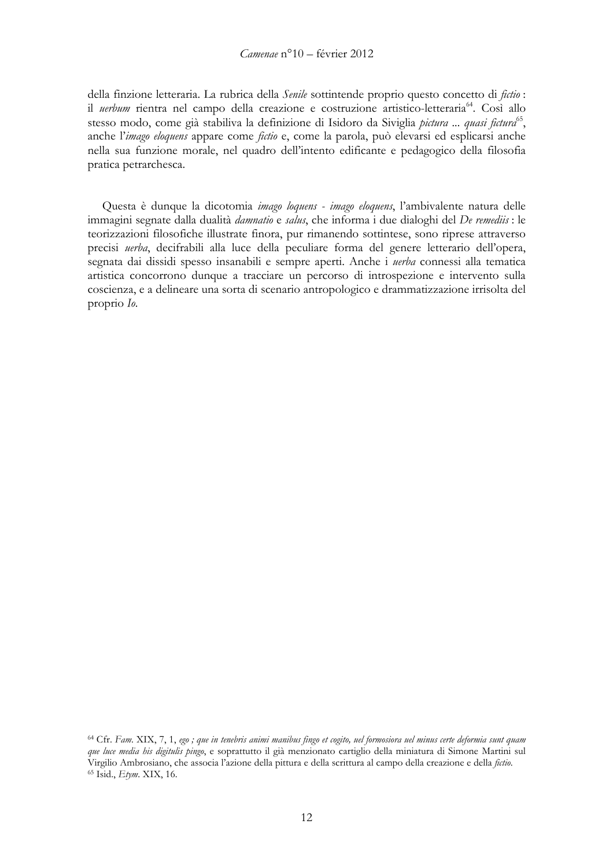della finzione letteraria. La rubrica della Senile sottintende proprio questo concetto di fictio: il *uerbum* rientra nel campo della creazione e costruzione artistico-letteraria<sup>64</sup>. Così allo stesso modo, come già stabiliva la definizione di Isidoro da Siviglia *pictura ... quasi fictura*<sup>65</sup>, anche l'imago eloquens appare come fictio e, come la parola, può elevarsi ed esplicarsi anche nella sua funzione morale, nel quadro dell'intento edificante e pedagogico della filosofia pratica petrarchesca.

Questa è dunque la dicotomia imago loquens - imago eloquens, l'ambivalente natura delle immagini segnate dalla dualità *damnatio* e salus, che informa i due dialoghi del *De remediis* : le teorizzazioni filosofiche illustrate finora, pur rimanendo sottintese, sono riprese attraverso precisi uerba, decifrabili alla luce della peculiare forma del genere letterario dell'opera, segnata dai dissidi spesso insanabili e sempre aperti. Anche i *uerba* connessi alla tematica artistica concorrono dunque a tracciare un percorso di introspezione e intervento sulla coscienza, e a delineare una sorta di scenario antropologico e drammatizzazione irrisolta del proprio Io.

<sup>&</sup>lt;sup>64</sup> Cfr. Fam. XIX, 7, 1, ego; que in tenebris animi manibus fingo et cogito, uel formosiora uel minus certe deformia sunt quam que luce media his digitulis pingo, e soprattutto il già menzionato cartiglio della miniatura di Simone Martini sul Virgilio Ambrosiano, che associa l'azione della pittura e della scrittura al campo della creazione e della fictio. <sup>65</sup> Isid., *Etym.* XIX, 16.